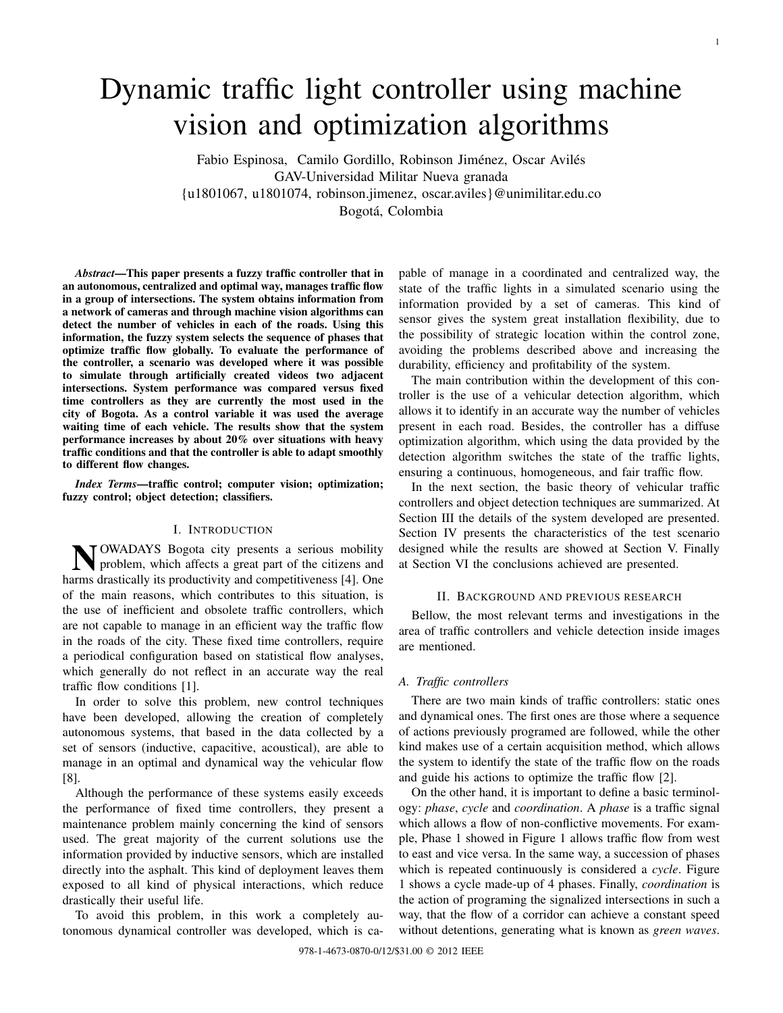# Dynamic traffic light controller using machine vision and optimization algorithms

Fabio Espinosa, Camilo Gordillo, Robinson Jiménez, Oscar Avilés GAV-Universidad Militar Nueva granada {u1801067, u1801074, robinson.jimenez, oscar.aviles}@unimilitar.edu.co Bogotá, Colombia

*Abstract*—This paper presents a fuzzy traffic controller that in an autonomous, centralized and optimal way, manages traffic flow in a group of intersections. The system obtains information from a network of cameras and through machine vision algorithms can detect the number of vehicles in each of the roads. Using this information, the fuzzy system selects the sequence of phases that optimize traffic flow globally. To evaluate the performance of the controller, a scenario was developed where it was possible to simulate through artificially created videos two adjacent intersections. System performance was compared versus fixed time controllers as they are currently the most used in the city of Bogota. As a control variable it was used the average waiting time of each vehicle. The results show that the system performance increases by about 20% over situations with heavy traffic conditions and that the controller is able to adapt smoothly to different flow changes.

*Index Terms*—traffic control; computer vision; optimization; fuzzy control; object detection; classifiers.

## I. INTRODUCTION

N OWADAYS Bogota city presents a serious mobility<br>problem, which affects a great part of the citizens and problem, which affects a great part of the citizens and harms drastically its productivity and competitiveness [4]. One of the main reasons, which contributes to this situation, is the use of inefficient and obsolete traffic controllers, which are not capable to manage in an efficient way the traffic flow in the roads of the city. These fixed time controllers, require a periodical configuration based on statistical flow analyses, which generally do not reflect in an accurate way the real traffic flow conditions [1].

In order to solve this problem, new control techniques have been developed, allowing the creation of completely autonomous systems, that based in the data collected by a set of sensors (inductive, capacitive, acoustical), are able to manage in an optimal and dynamical way the vehicular flow [8].

Although the performance of these systems easily exceeds the performance of fixed time controllers, they present a maintenance problem mainly concerning the kind of sensors used. The great majority of the current solutions use the information provided by inductive sensors, which are installed directly into the asphalt. This kind of deployment leaves them exposed to all kind of physical interactions, which reduce drastically their useful life.

To avoid this problem, in this work a completely autonomous dynamical controller was developed, which is capable of manage in a coordinated and centralized way, the state of the traffic lights in a simulated scenario using the information provided by a set of cameras. This kind of sensor gives the system great installation flexibility, due to the possibility of strategic location within the control zone, avoiding the problems described above and increasing the durability, efficiency and profitability of the system.

The main contribution within the development of this controller is the use of a vehicular detection algorithm, which allows it to identify in an accurate way the number of vehicles present in each road. Besides, the controller has a diffuse optimization algorithm, which using the data provided by the detection algorithm switches the state of the traffic lights, ensuring a continuous, homogeneous, and fair traffic flow.

In the next section, the basic theory of vehicular traffic controllers and object detection techniques are summarized. At Section III the details of the system developed are presented. Section IV presents the characteristics of the test scenario designed while the results are showed at Section V. Finally at Section VI the conclusions achieved are presented.

#### II. BACKGROUND AND PREVIOUS RESEARCH

Bellow, the most relevant terms and investigations in the area of traffic controllers and vehicle detection inside images are mentioned.

# *A. Traffic controllers*

There are two main kinds of traffic controllers: static ones and dynamical ones. The first ones are those where a sequence of actions previously programed are followed, while the other kind makes use of a certain acquisition method, which allows the system to identify the state of the traffic flow on the roads and guide his actions to optimize the traffic flow [2].

On the other hand, it is important to define a basic terminology: *phase*, *cycle* and *coordination*. A *phase* is a traffic signal which allows a flow of non-conflictive movements. For example, Phase 1 showed in Figure 1 allows traffic flow from west to east and vice versa. In the same way, a succession of phases which is repeated continuously is considered a *cycle*. Figure 1 shows a cycle made-up of 4 phases. Finally, *coordination* is the action of programing the signalized intersections in such a way, that the flow of a corridor can achieve a constant speed without detentions, generating what is known as *green waves*.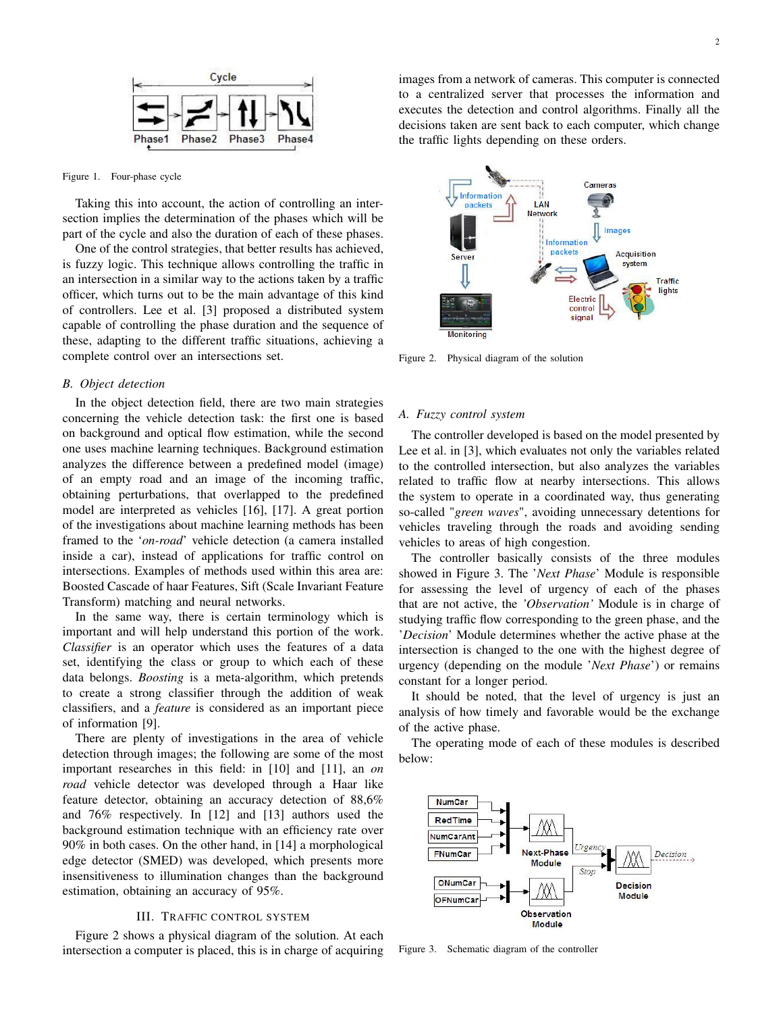

#### Figure 1. Four-phase cycle

Taking this into account, the action of controlling an intersection implies the determination of the phases which will be part of the cycle and also the duration of each of these phases.

One of the control strategies, that better results has achieved, is fuzzy logic. This technique allows controlling the traffic in an intersection in a similar way to the actions taken by a traffic officer, which turns out to be the main advantage of this kind of controllers. Lee et al. [3] proposed a distributed system capable of controlling the phase duration and the sequence of these, adapting to the different traffic situations, achieving a complete control over an intersections set.

### *B. Object detection*

In the object detection field, there are two main strategies concerning the vehicle detection task: the first one is based on background and optical flow estimation, while the second one uses machine learning techniques. Background estimation analyzes the difference between a predefined model (image) of an empty road and an image of the incoming traffic, obtaining perturbations, that overlapped to the predefined model are interpreted as vehicles [16], [17]. A great portion of the investigations about machine learning methods has been framed to the '*on-road*' vehicle detection (a camera installed inside a car), instead of applications for traffic control on intersections. Examples of methods used within this area are: Boosted Cascade of haar Features, Sift (Scale Invariant Feature Transform) matching and neural networks.

In the same way, there is certain terminology which is important and will help understand this portion of the work. *Classifier* is an operator which uses the features of a data set, identifying the class or group to which each of these data belongs. *Boosting* is a meta-algorithm, which pretends to create a strong classifier through the addition of weak classifiers, and a *feature* is considered as an important piece of information [9].

There are plenty of investigations in the area of vehicle detection through images; the following are some of the most important researches in this field: in [10] and [11], an *on road* vehicle detector was developed through a Haar like feature detector, obtaining an accuracy detection of 88,6% and 76% respectively. In [12] and [13] authors used the background estimation technique with an efficiency rate over 90% in both cases. On the other hand, in [14] a morphological edge detector (SMED) was developed, which presents more insensitiveness to illumination changes than the background estimation, obtaining an accuracy of 95%.

## III. TRAFFIC CONTROL SYSTEM

Figure 2 shows a physical diagram of the solution. At each intersection a computer is placed, this is in charge of acquiring images from a network of cameras. This computer is connected to a centralized server that processes the information and executes the detection and control algorithms. Finally all the decisions taken are sent back to each computer, which change the traffic lights depending on these orders.



Figure 2. Physical diagram of the solution

#### *A. Fuzzy control system*

The controller developed is based on the model presented by Lee et al. in [3], which evaluates not only the variables related to the controlled intersection, but also analyzes the variables related to traffic flow at nearby intersections. This allows the system to operate in a coordinated way, thus generating so-called "*green waves*", avoiding unnecessary detentions for vehicles traveling through the roads and avoiding sending vehicles to areas of high congestion.

The controller basically consists of the three modules showed in Figure 3. The '*Next Phase*' Module is responsible for assessing the level of urgency of each of the phases that are not active, the *'Observation'* Module is in charge of studying traffic flow corresponding to the green phase, and the '*Decision*' Module determines whether the active phase at the intersection is changed to the one with the highest degree of urgency (depending on the module '*Next Phase*') or remains constant for a longer period.

It should be noted, that the level of urgency is just an analysis of how timely and favorable would be the exchange of the active phase.

The operating mode of each of these modules is described below:



Figure 3. Schematic diagram of the controller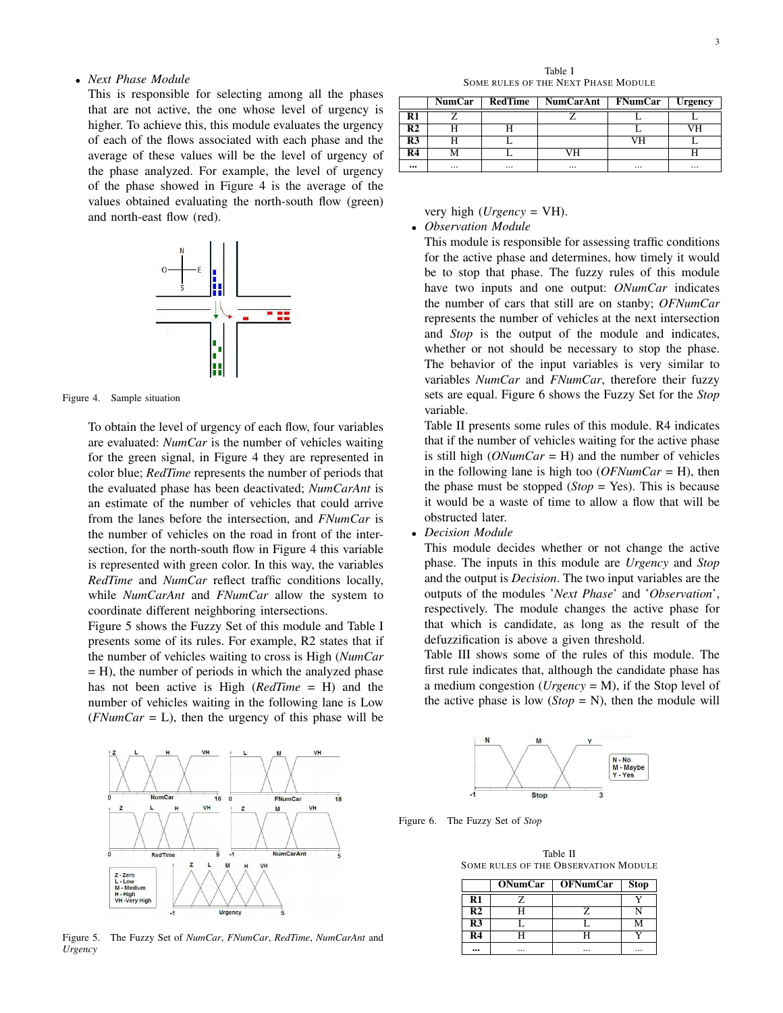## • *Next Phase Module*

This is responsible for selecting among all the phases that are not active, the one whose level of urgency is higher. To achieve this, this module evaluates the urgency of each of the flows associated with each phase and the average of these values will be the level of urgency of the phase analyzed. For example, the level of urgency of the phase showed in Figure 4 is the average of the values obtained evaluating the north-south flow (green) and north-east flow (red).



Figure 4. Sample situation

To obtain the level of urgency of each flow, four variables are evaluated: *NumCar* is the number of vehicles waiting for the green signal, in Figure 4 they are represented in color blue; *RedTime* represents the number of periods that the evaluated phase has been deactivated; *NumCarAnt* is an estimate of the number of vehicles that could arrive from the lanes before the intersection, and *FNumCar* is the number of vehicles on the road in front of the intersection, for the north-south flow in Figure 4 this variable is represented with green color. In this way, the variables *RedTime* and *NumCar* reflect traffic conditions locally, while *NumCarAnt* and *FNumCar* allow the system to coordinate different neighboring intersections.

Figure 5 shows the Fuzzy Set of this module and Table I presents some of its rules. For example, R2 states that if the number of vehicles waiting to cross is High (*NumCar*  $=$  H), the number of periods in which the analyzed phase has not been active is High (*RedTime* = H) and the number of vehicles waiting in the following lane is Low  $(FNumCar = L)$ , then the urgency of this phase will be

Table I SOME RULES OF THE NEXT PHASE MODULE

|                | <b>NumCar</b> | RedTime | NumCarAnt   FNumCar |          | <b>Urgency</b> |
|----------------|---------------|---------|---------------------|----------|----------------|
| R1             |               |         |                     |          |                |
| R <sub>2</sub> |               |         |                     |          |                |
| R <sub>3</sub> |               |         |                     | VН       |                |
| R4             |               |         |                     |          |                |
|                | $\cdots$      |         | $\cdots$            | $\cdots$ | $\cdots$       |

very high (*Urgency* = VH). • *Observation Module*

This module is responsible for assessing traffic conditions for the active phase and determines, how timely it would be to stop that phase. The fuzzy rules of this module have two inputs and one output: *ONumCar* indicates the number of cars that still are on stanby; *OFNumCar* represents the number of vehicles at the next intersection and *Stop* is the output of the module and indicates, whether or not should be necessary to stop the phase. The behavior of the input variables is very similar to variables *NumCar* and *FNumCar*, therefore their fuzzy sets are equal. Figure 6 shows the Fuzzy Set for the *Stop* variable.

Table II presents some rules of this module. R4 indicates that if the number of vehicles waiting for the active phase is still high (*ONumCar* = H) and the number of vehicles in the following lane is high too (*OFNumCar* = H), then the phase must be stopped (*Stop* = Yes). This is because it would be a waste of time to allow a flow that will be obstructed later.

• *Decision Module*

This module decides whether or not change the active phase. The inputs in this module are *Urgency* and *Stop* and the output is *Decision*. The two input variables are the outputs of the modules '*Next Phase*' and '*Observation*', respectively. The module changes the active phase for that which is candidate, as long as the result of the defuzzification is above a given threshold.

Table III shows some of the rules of this module. The first rule indicates that, although the candidate phase has a medium congestion (*Urgency* = M), if the Stop level of the active phase is low  $(Stop = N)$ , then the module will



Figure 5. The Fuzzy Set of *NumCar*, *FNumCar*, *RedTime*, *NumCarAnt* and *Urgency*



Figure 6. The Fuzzy Set of *Stop*

Table II SOME RULES OF THE OBSERVATION MODULE

|                     | <b>ONumCar</b> | <b>OFNumCar</b> | <b>Stop</b> |
|---------------------|----------------|-----------------|-------------|
| $_{\rm R1}$         | 7.             |                 |             |
| $\mathbf{R}\bar{2}$ | H              | 7.              |             |
| $R\overline{3}$     |                |                 | м           |
| $R\overline{4}$     | н              | ப               |             |
|                     |                |                 |             |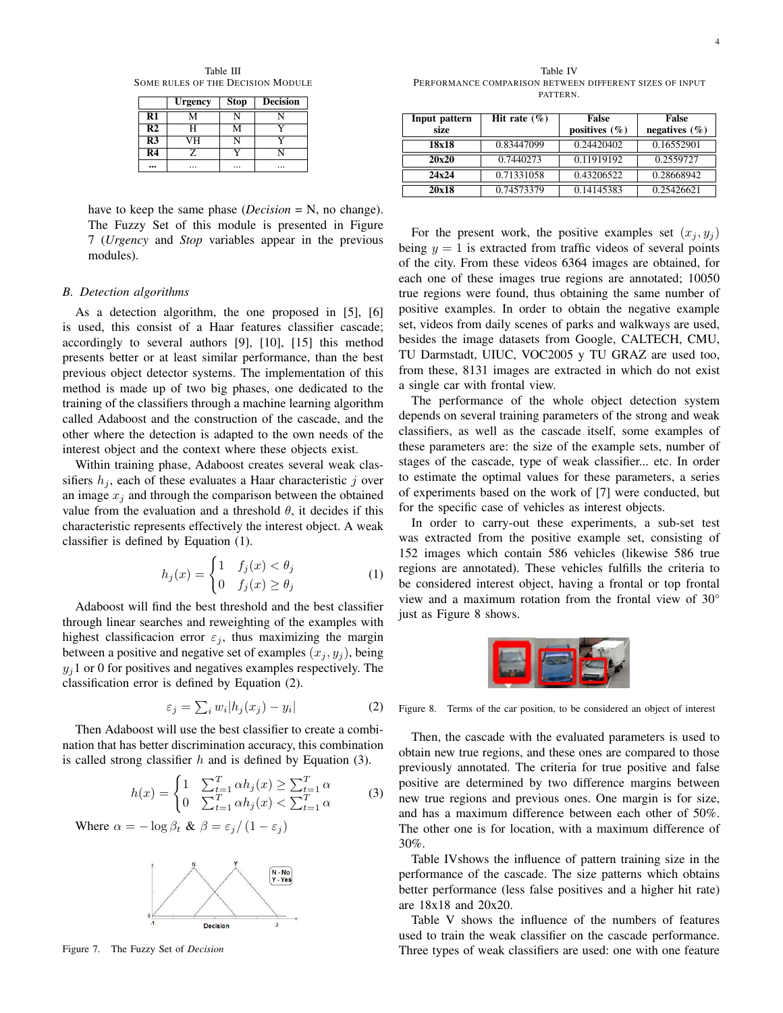Table III SOME RULES OF THE DECISION MODULE

|                           | <b>Urgency</b> | <b>Stop</b> | <b>Decision</b> |
|---------------------------|----------------|-------------|-----------------|
| $\bf R1$                  | v              |             |                 |
| R <sub>2</sub>            | H              | м           |                 |
| $\overline{\mathbb{R}^3}$ | VН             |             |                 |
| R <sub>4</sub>            |                |             |                 |
|                           |                |             | .               |

have to keep the same phase (*Decision* = N, no change). The Fuzzy Set of this module is presented in Figure 7 (*Urgency* and *Stop* variables appear in the previous modules).

#### *B. Detection algorithms*

As a detection algorithm, the one proposed in [5], [6] is used, this consist of a Haar features classifier cascade; accordingly to several authors [9], [10], [15] this method presents better or at least similar performance, than the best previous object detector systems. The implementation of this method is made up of two big phases, one dedicated to the training of the classifiers through a machine learning algorithm called Adaboost and the construction of the cascade, and the other where the detection is adapted to the own needs of the interest object and the context where these objects exist.

Within training phase, Adaboost creates several weak classifiers  $h_i$ , each of these evaluates a Haar characteristic j over an image  $x_i$  and through the comparison between the obtained value from the evaluation and a threshold  $\theta$ , it decides if this characteristic represents effectively the interest object. A weak classifier is defined by Equation (1).

$$
h_j(x) = \begin{cases} 1 & f_j(x) < \theta_j \\ 0 & f_j(x) \ge \theta_j \end{cases} \tag{1}
$$

Adaboost will find the best threshold and the best classifier through linear searches and reweighting of the examples with highest classificacion error  $\varepsilon_j$ , thus maximizing the margin between a positive and negative set of examples  $(x_j, y_j)$ , being  $y_i$ 1 or 0 for positives and negatives examples respectively. The classification error is defined by Equation (2).

$$
\varepsilon_j = \sum_i w_i |h_j(x_j) - y_i| \tag{2}
$$

Then Adaboost will use the best classifier to create a combination that has better discrimination accuracy, this combination is called strong classifier  $h$  and is defined by Equation (3).

$$
h(x) = \begin{cases} 1 & \sum_{t=1}^{T} \alpha h_j(x) \ge \sum_{t=1}^{T} \alpha \\ 0 & \sum_{t=1}^{T} \alpha h_j(x) < \sum_{t=1}^{T} \alpha \end{cases}
$$
(3)

Where  $\alpha = -\log \beta_t \& \beta = \varepsilon_i / (1 - \varepsilon_i)$ 



Figure 7. The Fuzzy Set of *Decision*

Table IV PERFORMANCE COMPARISON BETWEEN DIFFERENT SIZES OF INPUT PATTERN.

| Input pattern<br>size | Hit rate $(\% )$ | <b>False</b><br>positives $(\% )$ | False<br>negatives $(\% )$ |
|-----------------------|------------------|-----------------------------------|----------------------------|
|                       |                  |                                   |                            |
| 18x18                 | 0.83447099       | 0.24420402                        | 0.16552901                 |
| 20x20                 | 0.7440273        | 0.11919192                        | 0.2559727                  |
| 24x24                 | 0.71331058       | 0.43206522                        | 0.28668942                 |
| 20x18                 | 0.74573379       | 0.14145383                        | 0.25426621                 |

For the present work, the positive examples set  $(x_i, y_i)$ being  $y = 1$  is extracted from traffic videos of several points of the city. From these videos 6364 images are obtained, for each one of these images true regions are annotated; 10050 true regions were found, thus obtaining the same number of positive examples. In order to obtain the negative example set, videos from daily scenes of parks and walkways are used, besides the image datasets from Google, CALTECH, CMU, TU Darmstadt, UIUC, VOC2005 y TU GRAZ are used too, from these, 8131 images are extracted in which do not exist a single car with frontal view.

The performance of the whole object detection system depends on several training parameters of the strong and weak classifiers, as well as the cascade itself, some examples of these parameters are: the size of the example sets, number of stages of the cascade, type of weak classifier... etc. In order to estimate the optimal values for these parameters, a series of experiments based on the work of [7] were conducted, but for the specific case of vehicles as interest objects.

In order to carry-out these experiments, a sub-set test was extracted from the positive example set, consisting of 152 images which contain 586 vehicles (likewise 586 true regions are annotated). These vehicles fulfills the criteria to be considered interest object, having a frontal or top frontal view and a maximum rotation from the frontal view of 30° just as Figure 8 shows.



Figure 8. Terms of the car position, to be considered an object of interest

Then, the cascade with the evaluated parameters is used to obtain new true regions, and these ones are compared to those previously annotated. The criteria for true positive and false positive are determined by two difference margins between new true regions and previous ones. One margin is for size, and has a maximum difference between each other of 50%. The other one is for location, with a maximum difference of 30%.

Table IVshows the influence of pattern training size in the performance of the cascade. The size patterns which obtains better performance (less false positives and a higher hit rate) are 18x18 and 20x20.

Table V shows the influence of the numbers of features used to train the weak classifier on the cascade performance. Three types of weak classifiers are used: one with one feature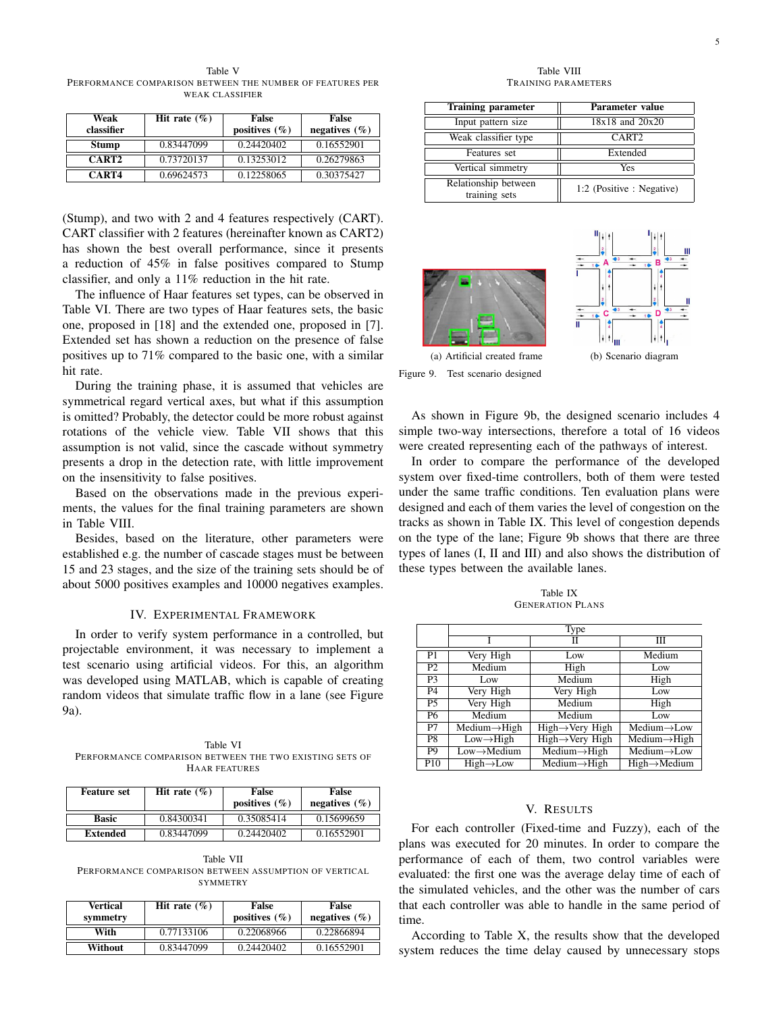Table V PERFORMANCE COMPARISON BETWEEN THE NUMBER OF FEATURES PER WEAK CLASSIFIER

| Weak<br>classifier | Hit rate $(\% )$ | False<br>positives $(\% )$ | False<br>negatives $(\% )$ |
|--------------------|------------------|----------------------------|----------------------------|
| <b>Stump</b>       | 0.83447099       | 0.24420402                 | 0.16552901                 |
| CART <sub>2</sub>  | 0.73720137       | 0.13253012                 | 0.26279863                 |
| CART4              | 0.69624573       | 0.12258065                 | 0.30375427                 |

(Stump), and two with 2 and 4 features respectively (CART). CART classifier with 2 features (hereinafter known as CART2) has shown the best overall performance, since it presents a reduction of 45% in false positives compared to Stump classifier, and only a 11% reduction in the hit rate.

The influence of Haar features set types, can be observed in Table VI. There are two types of Haar features sets, the basic one, proposed in [18] and the extended one, proposed in [7]. Extended set has shown a reduction on the presence of false positives up to 71% compared to the basic one, with a similar hit rate.

During the training phase, it is assumed that vehicles are symmetrical regard vertical axes, but what if this assumption is omitted? Probably, the detector could be more robust against rotations of the vehicle view. Table VII shows that this assumption is not valid, since the cascade without symmetry presents a drop in the detection rate, with little improvement on the insensitivity to false positives.

Based on the observations made in the previous experiments, the values for the final training parameters are shown in Table VIII.

Besides, based on the literature, other parameters were established e.g. the number of cascade stages must be between 15 and 23 stages, and the size of the training sets should be of about 5000 positives examples and 10000 negatives examples.

## IV. EXPERIMENTAL FRAMEWORK

In order to verify system performance in a controlled, but projectable environment, it was necessary to implement a test scenario using artificial videos. For this, an algorithm was developed using MATLAB, which is capable of creating random videos that simulate traffic flow in a lane (see Figure 9a).

Table VI PERFORMANCE COMPARISON BETWEEN THE TWO EXISTING SETS OF HAAR FEATURES

| <b>Feature set</b> | Hit rate $(\% )$ | False<br>positives $(\% )$ | False<br>negatives $(\% )$ |
|--------------------|------------------|----------------------------|----------------------------|
| <b>Basic</b>       | 0.84300341       | 0.35085414                 | 0.15699659                 |
| Extended           | 0.83447099       | 0.24420402                 | 0.16552901                 |

Table VII PERFORMANCE COMPARISON BETWEEN ASSUMPTION OF VERTICAL SYMMETRY

| Vertical<br>symmetry | Hit rate $(\% )$ | False<br>positives $(\% )$ | False<br>negatives $(\% )$ |
|----------------------|------------------|----------------------------|----------------------------|
| With                 | 0.77133106       | 0.22068966                 | 0.22866894                 |
| Without              | 0.83447099       | 0.24420402                 | 0.16552901                 |

Table VIII TRAINING PARAMETERS

| <b>Training parameter</b>             | Parameter value           |  |
|---------------------------------------|---------------------------|--|
| Input pattern size                    | $18x18$ and $20x20$       |  |
| Weak classifier type                  | CART <sub>2</sub>         |  |
| Features set                          | Extended                  |  |
| Vertical simmetry                     | Yes                       |  |
| Relationship between<br>training sets | 1:2 (Positive : Negative) |  |





Figure 9. Test scenario designed

As shown in Figure 9b, the designed scenario includes 4 simple two-way intersections, therefore a total of 16 videos were created representing each of the pathways of interest.

In order to compare the performance of the developed system over fixed-time controllers, both of them were tested under the same traffic conditions. Ten evaluation plans were designed and each of them varies the level of congestion on the tracks as shown in Table IX. This level of congestion depends on the type of the lane; Figure 9b shows that there are three types of lanes (I, II and III) and also shows the distribution of these types between the available lanes.

Table IX GENERATION PLANS

|                 | Type                      |                                                    |                                                    |  |
|-----------------|---------------------------|----------------------------------------------------|----------------------------------------------------|--|
|                 |                           | Н                                                  | Ш                                                  |  |
| P <sub>1</sub>  | Very High                 | Low                                                | Medium                                             |  |
| P <sub>2</sub>  | Medium                    | High                                               | Low                                                |  |
| P <sub>3</sub>  | Low                       | Medium                                             | High                                               |  |
| P <sub>4</sub>  | Very High                 | Very High                                          | Low                                                |  |
| P <sub>5</sub>  | Very High                 | Medium                                             | High                                               |  |
| P <sub>6</sub>  | Medium                    | Medium                                             | Low                                                |  |
| $\overline{P7}$ | $Median \rightarrow High$ | $High \rightarrow Very$ High                       | $Median \rightarrow Low$                           |  |
| $\overline{PS}$ | $Low \rightarrow High$    | $High \rightarrow Very$ High                       | $\overline{\text{Median}} \rightarrow \text{High}$ |  |
| $\overline{PQ}$ | $Low \rightarrow Medium$  | $\overline{\text{Medium}\rightarrow\text{High}}$   | $Median \rightarrow Low$                           |  |
| P <sub>10</sub> | $High \rightarrow Low$    | $\overline{\text{Median}} \rightarrow \text{High}$ | $High \rightarrow Medium$                          |  |

## V. RESULTS

For each controller (Fixed-time and Fuzzy), each of the plans was executed for 20 minutes. In order to compare the performance of each of them, two control variables were evaluated: the first one was the average delay time of each of the simulated vehicles, and the other was the number of cars that each controller was able to handle in the same period of time.

According to Table X, the results show that the developed system reduces the time delay caused by unnecessary stops